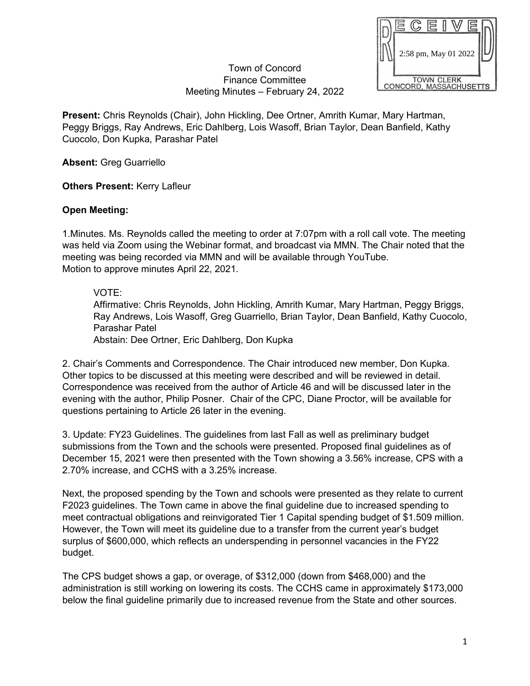

## Town of Concord Finance Committee Meeting Minutes – February 24, 2022

**Present:** Chris Reynolds (Chair), John Hickling, Dee Ortner, Amrith Kumar, Mary Hartman, Peggy Briggs, Ray Andrews, Eric Dahlberg, Lois Wasoff, Brian Taylor, Dean Banfield, Kathy Cuocolo, Don Kupka, Parashar Patel

**Absent:** Greg Guarriello

**Others Present:** Kerry Lafleur

## **Open Meeting:**

1.Minutes*.* Ms. Reynolds called the meeting to order at 7:07pm with a roll call vote. The meeting was held via Zoom using the Webinar format, and broadcast via MMN. The Chair noted that the meeting was being recorded via MMN and will be available through YouTube. Motion to approve minutes April 22, 2021.

## VOTE:

Affirmative: Chris Reynolds, John Hickling, Amrith Kumar, Mary Hartman, Peggy Briggs, Ray Andrews, Lois Wasoff, Greg Guarriello, Brian Taylor, Dean Banfield, Kathy Cuocolo, Parashar Patel

Abstain: Dee Ortner, Eric Dahlberg, Don Kupka

2. Chair's Comments and Correspondence. The Chair introduced new member, Don Kupka. Other topics to be discussed at this meeting were described and will be reviewed in detail. Correspondence was received from the author of Article 46 and will be discussed later in the evening with the author, Philip Posner. Chair of the CPC, Diane Proctor, will be available for questions pertaining to Article 26 later in the evening.

3. Update: FY23 Guidelines. The guidelines from last Fall as well as preliminary budget submissions from the Town and the schools were presented. Proposed final guidelines as of December 15, 2021 were then presented with the Town showing a 3.56% increase, CPS with a 2.70% increase, and CCHS with a 3.25% increase.

Next, the proposed spending by the Town and schools were presented as they relate to current F2023 guidelines. The Town came in above the final guideline due to increased spending to meet contractual obligations and reinvigorated Tier 1 Capital spending budget of \$1.509 million. However, the Town will meet its guideline due to a transfer from the current year's budget surplus of \$600,000, which reflects an underspending in personnel vacancies in the FY22 budget.

The CPS budget shows a gap, or overage, of \$312,000 (down from \$468,000) and the administration is still working on lowering its costs. The CCHS came in approximately \$173,000 below the final guideline primarily due to increased revenue from the State and other sources.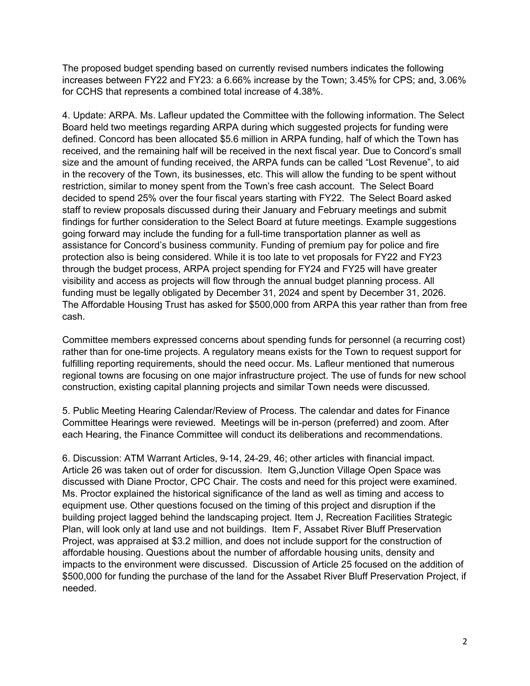The proposed budget spending based on currently revised numbers indicates the following increases between FY22 and FY23: a 6.66% increase by the Town; 3.45% for CPS; and, 3.06% for CCHS that represents a combined total increase of 4.38%.

4. Update: ARPA. Ms. Lafleur updated the Committee with the following information. The Select Board held two meetings regarding ARPA during which suggested projects for funding were defined. Concord has been allocated \$5.6 million in ARPA funding, half of which the Town has received, and the remaining half will be received in the next fiscal year. Due to Concord's small size and the amount of funding received, the ARPA funds can be called "Lost Revenue", to aid in the recovery of the Town, its businesses, etc. This will allow the funding to be spent without restriction, similar to money spent from the Town's free cash account. The Select Board decided to spend 25% over the four fiscal years starting with FY22. The Select Board asked staff to review proposals discussed during their January and February meetings and submit findings for further consideration to the Select Board at future meetings. Example suggestions going forward may include the funding for a full-time transportation planner as well as assistance for Concord's business community. Funding of premium pay for police and fire protection also is being considered. While it is too late to vet proposals for FY22 and FY23 through the budget process, ARPA project spending for FY24 and FY25 will have greater visibility and access as projects will flow through the annual budget planning process. All funding must be legally obligated by December 31, 2024 and spent by December 31, 2026. The Affordable Housing Trust has asked for \$500,000 from ARPA this year rather than from free cash.

Committee members expressed concerns about spending funds for personnel (a recurring cost) rather than for one-time projects. A regulatory means exists for the Town to request support for fulfilling reporting requirements, should the need occur. Ms. Lafleur mentioned that numerous regional towns are focusing on one major infrastructure project. The use of funds for new school construction, existing capital planning projects and similar Town needs were discussed.

5. Public Meeting Hearing Calendar/Review of Process. The calendar and dates for Finance Committee Hearings were reviewed. Meetings will be in-person (preferred) and zoom. After each Hearing, the Finance Committee will conduct its deliberations and recommendations.

6. Discussion: ATM Warrant Articles, 9-14, 24-29, 46; other articles with financial impact. Article 26 was taken out of order for discussion. Item G,Junction Village Open Space was discussed with Diane Proctor, CPC Chair. The costs and need for this project were examined. Ms. Proctor explained the historical significance of the land as well as timing and access to equipment use. Other questions focused on the timing of this project and disruption if the building project lagged behind the landscaping project. Item J, Recreation Facilities Strategic Plan, will look only at land use and not buildings. Item F, Assabet River Bluff Preservation Project, was appraised at \$3.2 million, and does not include support for the construction of affordable housing. Questions about the number of affordable housing units, density and impacts to the environment were discussed. Discussion of Article 25 focused on the addition of \$500,000 for funding the purchase of the land for the Assabet River Bluff Preservation Project, if needed.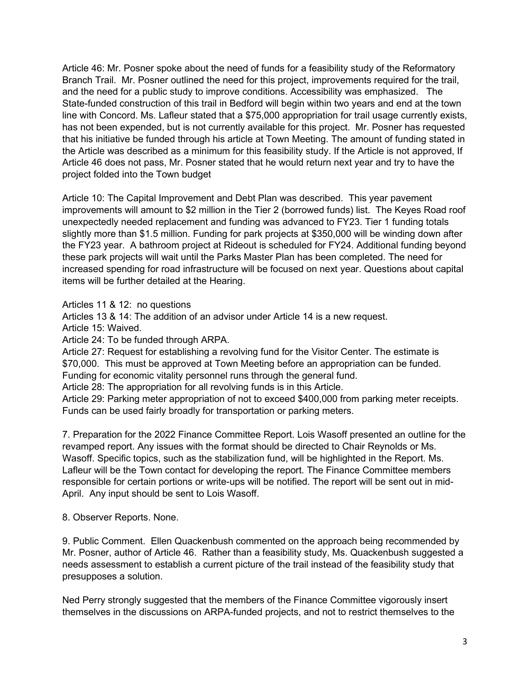Article 46: Mr. Posner spoke about the need of funds for a feasibility study of the Reformatory Branch Trail. Mr. Posner outlined the need for this project, improvements required for the trail, and the need for a public study to improve conditions. Accessibility was emphasized. The State-funded construction of this trail in Bedford will begin within two years and end at the town line with Concord. Ms. Lafleur stated that a \$75,000 appropriation for trail usage currently exists, has not been expended, but is not currently available for this project. Mr. Posner has requested that his initiative be funded through his article at Town Meeting. The amount of funding stated in the Article was described as a minimum for this feasibility study. If the Article is not approved, If Article 46 does not pass, Mr. Posner stated that he would return next year and try to have the project folded into the Town budget

Article 10: The Capital Improvement and Debt Plan was described. This year pavement improvements will amount to \$2 million in the Tier 2 (borrowed funds) list. The Keyes Road roof unexpectedly needed replacement and funding was advanced to FY23. Tier 1 funding totals slightly more than \$1.5 million. Funding for park projects at \$350,000 will be winding down after the FY23 year. A bathroom project at Rideout is scheduled for FY24. Additional funding beyond these park projects will wait until the Parks Master Plan has been completed. The need for increased spending for road infrastructure will be focused on next year. Questions about capital items will be further detailed at the Hearing.

Articles 11 & 12: no questions

Articles 13 & 14: The addition of an advisor under Article 14 is a new request.

Article 15: Waived.

Article 24: To be funded through ARPA.

Article 27: Request for establishing a revolving fund for the Visitor Center. The estimate is \$70,000. This must be approved at Town Meeting before an appropriation can be funded. Funding for economic vitality personnel runs through the general fund.

Article 28: The appropriation for all revolving funds is in this Article.

Article 29: Parking meter appropriation of not to exceed \$400,000 from parking meter receipts. Funds can be used fairly broadly for transportation or parking meters.

7. Preparation for the 2022 Finance Committee Report. Lois Wasoff presented an outline for the revamped report. Any issues with the format should be directed to Chair Reynolds or Ms. Wasoff. Specific topics, such as the stabilization fund, will be highlighted in the Report. Ms. Lafleur will be the Town contact for developing the report. The Finance Committee members responsible for certain portions or write-ups will be notified. The report will be sent out in mid-April. Any input should be sent to Lois Wasoff.

8. Observer Reports. None.

9. Public Comment. Ellen Quackenbush commented on the approach being recommended by Mr. Posner, author of Article 46. Rather than a feasibility study, Ms. Quackenbush suggested a needs assessment to establish a current picture of the trail instead of the feasibility study that presupposes a solution.

Ned Perry strongly suggested that the members of the Finance Committee vigorously insert themselves in the discussions on ARPA-funded projects, and not to restrict themselves to the